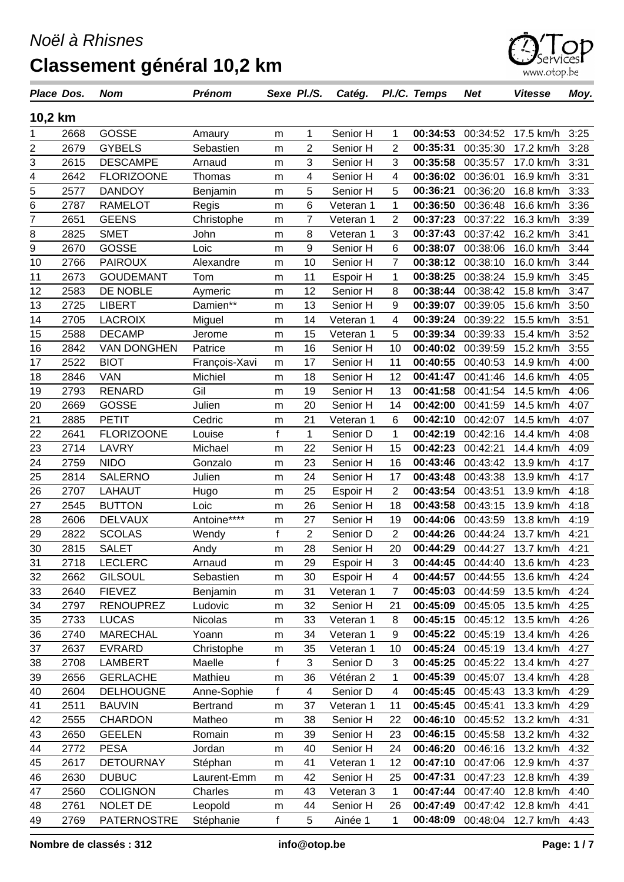|                | Place Dos. | <b>Nom</b>         | <b>Prénom</b>   |   | Sexe PI./S.      | Catég.    |                 | PI./C. Temps | <b>Net</b> | <b>Vitesse</b> | Moy. |
|----------------|------------|--------------------|-----------------|---|------------------|-----------|-----------------|--------------|------------|----------------|------|
|                | 10,2 km    |                    |                 |   |                  |           |                 |              |            |                |      |
| 1              | 2668       | <b>GOSSE</b>       | Amaury          | m | 1                | Senior H  | 1               | 00:34:53     | 00:34:52   | 17.5 km/h      | 3:25 |
| 2              | 2679       | <b>GYBELS</b>      | Sebastien       | m | $\overline{2}$   | Senior H  | $\overline{2}$  | 00:35:31     | 00:35:30   | 17.2 km/h      | 3:28 |
| 3              | 2615       | <b>DESCAMPE</b>    | Arnaud          | m | 3                | Senior H  | 3               | 00:35:58     | 00:35:57   | 17.0 km/h      | 3:31 |
| 4              | 2642       | <b>FLORIZOONE</b>  | Thomas          | m | 4                | Senior H  | 4               | 00:36:02     | 00:36:01   | 16.9 km/h      | 3:31 |
| $\overline{5}$ | 2577       | <b>DANDOY</b>      | Benjamin        | m | 5                | Senior H  | 5               | 00:36:21     | 00:36:20   | 16.8 km/h      | 3:33 |
| 6              | 2787       | <b>RAMELOT</b>     | Regis           | m | $\,6$            | Veteran 1 | 1               | 00:36:50     | 00:36:48   | 16.6 km/h      | 3:36 |
| 7              | 2651       | <b>GEENS</b>       | Christophe      | m | $\overline{7}$   | Veteran 1 | $\overline{2}$  | 00:37:23     | 00:37:22   | 16.3 km/h      | 3:39 |
| 8              | 2825       | <b>SMET</b>        | John            | m | $\bf 8$          | Veteran 1 | 3               | 00:37:43     | 00:37:42   | 16.2 km/h      | 3:41 |
| $\overline{9}$ | 2670       | <b>GOSSE</b>       | Loic            | m | $\boldsymbol{9}$ | Senior H  | 6               | 00:38:07     | 00:38:06   | 16.0 km/h      | 3:44 |
| 10             | 2766       | <b>PAIROUX</b>     | Alexandre       | m | 10               | Senior H  | 7               | 00:38:12     | 00:38:10   | 16.0 km/h      | 3:44 |
| 11             | 2673       | <b>GOUDEMANT</b>   | Tom             | m | 11               | Espoir H  | 1               | 00:38:25     | 00:38:24   | 15.9 km/h      | 3:45 |
| 12             | 2583       | DE NOBLE           | Aymeric         | m | 12               | Senior H  | 8               | 00:38:44     | 00:38:42   | 15.8 km/h      | 3:47 |
| 13             | 2725       | <b>LIBERT</b>      | Damien**        | m | 13               | Senior H  | 9               | 00:39:07     | 00:39:05   | 15.6 km/h      | 3:50 |
| 14             | 2705       | <b>LACROIX</b>     | Miguel          | m | 14               | Veteran 1 | 4               | 00:39:24     | 00:39:22   | 15.5 km/h      | 3:51 |
| 15             | 2588       | <b>DECAMP</b>      | Jerome          | m | 15               | Veteran 1 | 5               | 00:39:34     | 00:39:33   | 15.4 km/h      | 3:52 |
| 16             | 2842       | <b>VAN DONGHEN</b> | Patrice         | m | 16               | Senior H  | 10              | 00:40:02     | 00:39:59   | 15.2 km/h      | 3:55 |
| 17             | 2522       | <b>BIOT</b>        | François-Xavi   | m | 17               | Senior H  | 11              | 00:40:55     | 00:40:53   | 14.9 km/h      | 4:00 |
| 18             | 2846       | <b>VAN</b>         | Michiel         | m | 18               | Senior H  | 12              | 00:41:47     | 00:41:46   | 14.6 km/h      | 4:05 |
| 19             | 2793       | <b>RENARD</b>      | Gil             | m | 19               | Senior H  | 13              | 00:41:58     | 00:41:54   | 14.5 km/h      | 4:06 |
| 20             | 2669       | <b>GOSSE</b>       | Julien          | m | 20               | Senior H  | 14              | 00:42:00     | 00:41:59   | 14.5 km/h      | 4:07 |
| 21             | 2885       | <b>PETIT</b>       | Cedric          | m | 21               | Veteran 1 | $6\phantom{1}6$ | 00:42:10     | 00:42:07   | 14.5 km/h      | 4:07 |
| 22             | 2641       | <b>FLORIZOONE</b>  | Louise          | f | 1                | Senior D  | 1               | 00:42:19     | 00:42:16   | 14.4 km/h      | 4:08 |
| 23             | 2714       | LAVRY              | Michael         | m | 22               | Senior H  | 15              | 00:42:23     | 00:42:21   | 14.4 km/h      | 4:09 |
| 24             | 2759       | <b>NIDO</b>        | Gonzalo         | m | 23               | Senior H  | 16              | 00:43:46     | 00:43:42   | 13.9 km/h      | 4:17 |
| 25             | 2814       | <b>SALERNO</b>     | Julien          | m | 24               | Senior H  | 17              | 00:43:48     | 00:43:38   | 13.9 km/h      | 4:17 |
| 26             | 2707       | LAHAUT             | Hugo            | m | 25               | Espoir H  | $\overline{2}$  | 00:43:54     | 00:43:51   | 13.9 km/h      | 4:18 |
| 27             | 2545       | <b>BUTTON</b>      | Loic            | m | 26               | Senior H  | 18              | 00:43:58     | 00:43:15   | 13.9 km/h      | 4:18 |
| 28             | 2606       | <b>DELVAUX</b>     | Antoine****     | m | 27               | Senior H  | 19              | 00:44:06     | 00:43:59   | 13.8 km/h      | 4:19 |
| 29             | 2822       | <b>SCOLAS</b>      | Wendy           | f | $\overline{2}$   | Senior D  | $\overline{2}$  | 00:44:26     | 00:44:24   | 13.7 km/h      | 4:21 |
| 30             | 2815       | <b>SALET</b>       | Andy            | m | 28               | Senior H  | 20              | 00:44:29     | 00:44:27   | 13.7 km/h      | 4:21 |
| 31             | 2718       | <b>LECLERC</b>     | Arnaud          | m | 29               | Espoir H  | 3               | 00:44:45     | 00:44:40   | 13.6 km/h      | 4:23 |
| 32             | 2662       | <b>GILSOUL</b>     | Sebastien       | m | 30               | Espoir H  | 4               | 00:44:57     | 00:44:55   | 13.6 km/h      | 4:24 |
| 33             | 2640       | <b>FIEVEZ</b>      | Benjamin        | m | 31               | Veteran 1 | 7               | 00:45:03     | 00:44:59   | 13.5 km/h      | 4:24 |
| 34             | 2797       | <b>RENOUPREZ</b>   | Ludovic         | m | 32               | Senior H  | 21              | 00:45:09     | 00:45:05   | 13.5 km/h      | 4:25 |
| 35             | 2733       | <b>LUCAS</b>       | Nicolas         | m | 33               | Veteran 1 | 8               | 00:45:15     | 00:45:12   | 13.5 km/h      | 4:26 |
| 36             | 2740       | <b>MARECHAL</b>    | Yoann           | m | 34               | Veteran 1 | 9               | 00:45:22     | 00:45:19   | 13.4 km/h      | 4:26 |
| 37             | 2637       | <b>EVRARD</b>      | Christophe      | m | 35               | Veteran 1 | 10              | 00:45:24     | 00:45:19   | 13.4 km/h      | 4:27 |
| 38             | 2708       | <b>LAMBERT</b>     | Maelle          | f | 3                | Senior D  | 3               | 00:45:25     | 00:45:22   | 13.4 km/h      | 4:27 |
| 39             | 2656       | <b>GERLACHE</b>    | Mathieu         | m | 36               | Vétéran 2 | 1               | 00:45:39     | 00:45:07   | 13.4 km/h      | 4:28 |
| 40             | 2604       | <b>DELHOUGNE</b>   | Anne-Sophie     | f | 4                | Senior D  | 4               | 00:45:45     | 00:45:43   | 13.3 km/h      | 4:29 |
| 41             | 2511       | <b>BAUVIN</b>      | <b>Bertrand</b> | m | 37               | Veteran 1 | 11              | 00:45:45     | 00:45:41   | 13.3 km/h      | 4:29 |
| 42             | 2555       | <b>CHARDON</b>     | Matheo          | m | 38               | Senior H  | 22              | 00:46:10     | 00:45:52   | 13.2 km/h      | 4:31 |
| 43             | 2650       | <b>GEELEN</b>      | Romain          | m | 39               | Senior H  | 23              | 00:46:15     | 00:45:58   | 13.2 km/h      | 4:32 |
| 44             | 2772       | <b>PESA</b>        | Jordan          | m | 40               | Senior H  | 24              | 00:46:20     | 00:46:16   | 13.2 km/h      | 4:32 |
| 45             | 2617       | <b>DETOURNAY</b>   | Stéphan         | m | 41               | Veteran 1 | 12              | 00:47:10     | 00:47:06   | 12.9 km/h      | 4:37 |
| 46             | 2630       | <b>DUBUC</b>       | Laurent-Emm     | m | 42               | Senior H  | 25              | 00:47:31     | 00:47:23   | 12.8 km/h      | 4:39 |
| 47             | 2560       | <b>COLIGNON</b>    | Charles         | m | 43               | Veteran 3 | $\mathbf{1}$    | 00:47:44     | 00:47:40   | 12.8 km/h      | 4:40 |
| 48             | 2761       | NOLET DE           | Leopold         | m | 44               | Senior H  | 26              | 00:47:49     | 00:47:42   | 12.8 km/h      | 4:41 |
| 49             | 2769       | <b>PATERNOSTRE</b> | Stéphanie       | f | $\sqrt{5}$       | Ainée 1   | 1               | 00:48:09     | 00:48:04   | 12.7 km/h      | 4:43 |

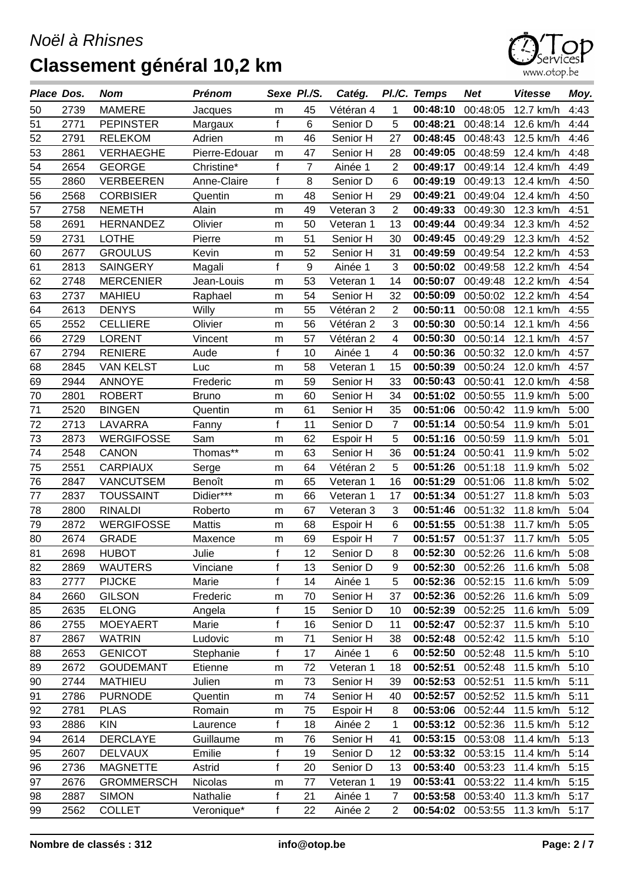

| Place Dos. |      | Nom               | <b>Prénom</b> |              | Sexe PI./S.    | Catég.    |                | PI./C. Temps      | <b>Net</b> | <b>Vitesse</b>                   | Moy. |
|------------|------|-------------------|---------------|--------------|----------------|-----------|----------------|-------------------|------------|----------------------------------|------|
| 50         | 2739 | <b>MAMERE</b>     | Jacques       | m            | 45             | Vétéran 4 | 1              | 00:48:10          | 00:48:05   | 12.7 km/h                        | 4:43 |
| 51         | 2771 | <b>PEPINSTER</b>  | Margaux       | f            | 6              | Senior D  | 5              | 00:48:21          | 00:48:14   | 12.6 km/h                        | 4:44 |
| 52         | 2791 | <b>RELEKOM</b>    | Adrien        | m            | 46             | Senior H  | 27             | 00:48:45          | 00:48:43   | 12.5 km/h                        | 4:46 |
| 53         | 2861 | <b>VERHAEGHE</b>  | Pierre-Edouar | m            | 47             | Senior H  | 28             | 00:49:05          | 00:48:59   | 12.4 km/h                        | 4:48 |
| 54         | 2654 | <b>GEORGE</b>     | Christine*    | $\mathsf{f}$ | $\overline{7}$ | Ainée 1   | 2              | 00:49:17          | 00:49:14   | 12.4 km/h                        | 4:49 |
| 55         | 2860 | <b>VERBEEREN</b>  | Anne-Claire   | f            | 8              | Senior D  | 6              | 00:49:19          | 00:49:13   | 12.4 km/h                        | 4:50 |
| 56         | 2568 | <b>CORBISIER</b>  | Quentin       | m            | 48             | Senior H  | 29             | 00:49:21          | 00:49:04   | 12.4 km/h                        | 4:50 |
| 57         | 2758 | <b>NEMETH</b>     | Alain         | m            | 49             | Veteran 3 | 2              | 00:49:33          | 00:49:30   | 12.3 km/h                        | 4:51 |
| 58         | 2691 | <b>HERNANDEZ</b>  | Olivier       | m            | 50             | Veteran 1 | 13             | 00:49:44          | 00:49:34   | 12.3 km/h                        | 4:52 |
| 59         | 2731 | LOTHE             | Pierre        | m            | 51             | Senior H  | 30             | 00:49:45          | 00:49:29   | 12.3 km/h                        | 4:52 |
| 60         | 2677 | <b>GROULUS</b>    | Kevin         | m            | 52             | Senior H  | 31             | 00:49:59          | 00:49:54   | 12.2 km/h                        | 4:53 |
| 61         | 2813 | <b>SAINGERY</b>   | Magali        | $\mathsf{f}$ | 9              | Ainée 1   | 3              | 00:50:02          | 00:49:58   | 12.2 km/h                        | 4:54 |
| 62         | 2748 | <b>MERCENIER</b>  | Jean-Louis    | m            | 53             | Veteran 1 | 14             | 00:50:07          | 00:49:48   | 12.2 km/h                        | 4:54 |
| 63         | 2737 | <b>MAHIEU</b>     | Raphael       | m            | 54             | Senior H  | 32             | 00:50:09          | 00:50:02   | 12.2 km/h                        | 4:54 |
| 64         | 2613 | <b>DENYS</b>      | Willy         | m            | 55             | Vétéran 2 | $\overline{2}$ | 00:50:11          | 00:50:08   | 12.1 km/h                        | 4:55 |
| 65         | 2552 | <b>CELLIERE</b>   | Olivier       | m            | 56             | Vétéran 2 | 3              | 00:50:30          | 00:50:14   | 12.1 km/h                        | 4:56 |
| 66         | 2729 | <b>LORENT</b>     | Vincent       | m            | 57             | Vétéran 2 | 4              | 00:50:30          | 00:50:14   | 12.1 km/h                        | 4:57 |
| 67         | 2794 | <b>RENIERE</b>    | Aude          | f            | 10             | Ainée 1   | 4              | 00:50:36          | 00:50:32   | 12.0 km/h                        | 4:57 |
| 68         | 2845 | <b>VAN KELST</b>  | Luc           | m            | 58             | Veteran 1 | 15             | 00:50:39          | 00:50:24   | 12.0 km/h                        | 4:57 |
| 69         | 2944 | <b>ANNOYE</b>     | Frederic      | m            | 59             | Senior H  | 33             | 00:50:43          | 00:50:41   | 12.0 km/h                        | 4:58 |
| 70         | 2801 | <b>ROBERT</b>     | <b>Bruno</b>  | m            | 60             | Senior H  | 34             | 00:51:02          | 00:50:55   | 11.9 km/h                        | 5:00 |
| 71         | 2520 | <b>BINGEN</b>     | Quentin       | m            | 61             | Senior H  | 35             | 00:51:06          | 00:50:42   | 11.9 km/h                        | 5:00 |
| 72         | 2713 | LAVARRA           | Fanny         | f            | 11             | Senior D  | $\overline{7}$ | 00:51:14          | 00:50:54   | 11.9 km/h                        | 5:01 |
| 73         | 2873 | <b>WERGIFOSSE</b> | Sam           | m            | 62             | Espoir H  | 5              | 00:51:16          | 00:50:59   | 11.9 km/h                        | 5:01 |
| 74         | 2548 | <b>CANON</b>      | Thomas**      | m            | 63             | Senior H  | 36             | 00:51:24          | 00:50:41   | 11.9 km/h                        | 5:02 |
| 75         | 2551 | <b>CARPIAUX</b>   | Serge         | m            | 64             | Vétéran 2 | 5              | 00:51:26          | 00:51:18   | 11.9 km/h                        | 5:02 |
| 76         | 2847 | <b>VANCUTSEM</b>  | Benoît        | m            | 65             | Veteran 1 | 16             | 00:51:29          | 00:51:06   | 11.8 km/h                        | 5:02 |
| 77         | 2837 | <b>TOUSSAINT</b>  | Didier***     | m            | 66             | Veteran 1 | 17             | 00:51:34          | 00:51:27   | 11.8 km/h                        | 5:03 |
| 78         | 2800 | <b>RINALDI</b>    | Roberto       | m            | 67             | Veteran 3 | 3              | 00:51:46          | 00:51:32   | 11.8 km/h                        | 5:04 |
| 79         | 2872 | <b>WERGIFOSSE</b> | <b>Mattis</b> | m            | 68             | Espoir H  | 6              | 00:51:55          | 00:51:38   | 11.7 km/h                        | 5:05 |
| 80         | 2674 | <b>GRADE</b>      | Maxence       | m            | 69             | Espoir H  | $\overline{7}$ | 00:51:57          | 00:51:37   | 11.7 km/h                        | 5:05 |
| 81         | 2698 | <b>HUBOT</b>      | Julie         | $\mathsf f$  | 12             | Senior D  | 8              | 00:52:30          |            | 00:52:26 11.6 km/h               | 5:08 |
| 82         | 2869 | <b>WAUTERS</b>    | Vinciane      | $\mathsf{f}$ | 13             | Senior D  | 9              |                   |            | 00:52:30 00:52:26 11.6 km/h 5:08 |      |
| 83         | 2777 | <b>PIJCKE</b>     | Marie         | f            | 14             | Ainée 1   | 5              | 00:52:36          | 00:52:15   | 11.6 km/h                        | 5:09 |
| 84         | 2660 | <b>GILSON</b>     | Frederic      | m            | 70             | Senior H  | 37             | 00:52:36          | 00:52:26   | 11.6 km/h                        | 5:09 |
| 85         | 2635 | <b>ELONG</b>      | Angela        | f            | 15             | Senior D  | 10             | 00:52:39          | 00:52:25   | 11.6 km/h                        | 5:09 |
| 86         | 2755 | <b>MOEYAERT</b>   | Marie         | $\mathsf f$  | 16             | Senior D  | 11             | 00:52:47          | 00:52:37   | 11.5 km/h                        | 5:10 |
| 87         | 2867 | <b>WATRIN</b>     | Ludovic       | m            | 71             | Senior H  | 38             | 00:52:48          | 00:52:42   | 11.5 km/h                        | 5:10 |
| 88         | 2653 | <b>GENICOT</b>    | Stephanie     | f            | 17             | Ainée 1   | 6              | 00:52:50          | 00:52:48   | 11.5 km/h                        | 5:10 |
| 89         | 2672 | <b>GOUDEMANT</b>  | Etienne       | m            | 72             | Veteran 1 | 18             | 00:52:51          | 00:52:48   | 11.5 km/h                        | 5:10 |
| 90         | 2744 | <b>MATHIEU</b>    | Julien        | m            | 73             | Senior H  | 39             | 00:52:53          | 00:52:51   | 11.5 km/h                        | 5:11 |
| 91         | 2786 | <b>PURNODE</b>    | Quentin       | m            | 74             | Senior H  | 40             | 00:52:57          | 00:52:52   | 11.5 km/h                        | 5:11 |
| 92         | 2781 | <b>PLAS</b>       | Romain        | m            | 75             | Espoir H  | 8              | 00:53:06          | 00:52:44   | 11.5 km/h                        | 5:12 |
| 93         | 2886 | <b>KIN</b>        | Laurence      | f            | 18             | Ainée 2   | $\mathbf 1$    | 00:53:12 00:52:36 |            | 11.5 km/h                        | 5:12 |
| 94         | 2614 | <b>DERCLAYE</b>   | Guillaume     | m            | 76             | Senior H  | 41             | 00:53:15          | 00:53:08   | 11.4 km/h                        | 5:13 |
| 95         | 2607 | <b>DELVAUX</b>    | Emilie        | f            | 19             | Senior D  | 12             | 00:53:32          | 00:53:15   | 11.4 km/h                        | 5:14 |
| 96         | 2736 | <b>MAGNETTE</b>   | Astrid        | f            | 20             | Senior D  | 13             | 00:53:40          | 00:53:23   | 11.4 km/h                        | 5:15 |
| 97         | 2676 | <b>GROMMERSCH</b> | Nicolas       | m            | 77             | Veteran 1 | 19             | 00:53:41          | 00:53:22   | 11.4 km/h                        | 5:15 |
| 98         | 2887 | <b>SIMON</b>      | Nathalie      | $\mathsf f$  | 21             | Ainée 1   | $\overline{7}$ | 00:53:58          | 00:53:40   | 11.3 km/h                        | 5:17 |
| 99         | 2562 | <b>COLLET</b>     | Veronique*    | f            | 22             | Ainée 2   | $\overline{2}$ | 00:54:02          | 00:53:55   | 11.3 km/h                        | 5:17 |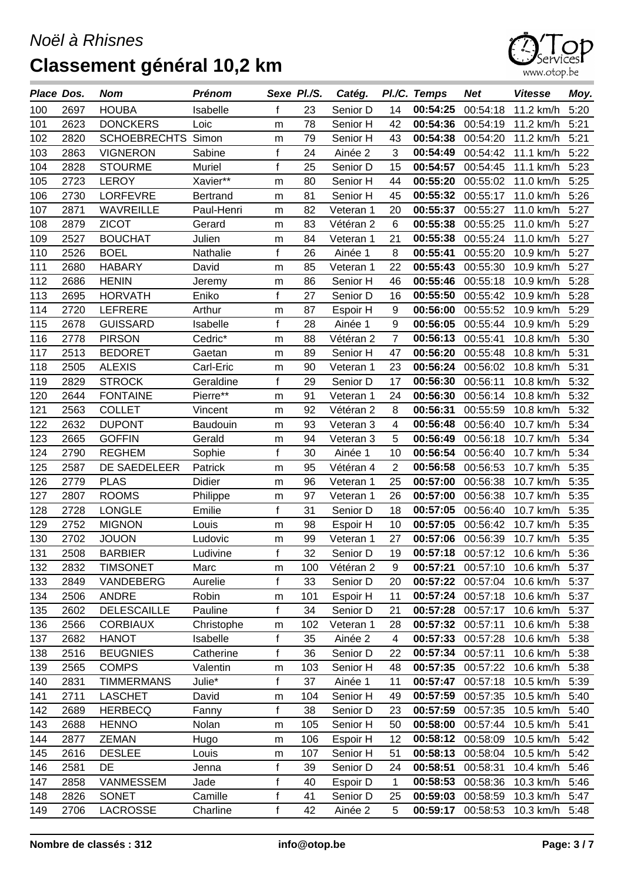

| Place Dos. |      | <b>Nom</b>                | <b>Prénom</b>   |              | Sexe Pl./S. | Catég.    |                         | PI./C. Temps      | <b>Net</b> | <b>Vitesse</b>                   | Moy. |
|------------|------|---------------------------|-----------------|--------------|-------------|-----------|-------------------------|-------------------|------------|----------------------------------|------|
| 100        | 2697 | <b>HOUBA</b>              | Isabelle        | f            | 23          | Senior D  | 14                      | 00:54:25          | 00:54:18   | 11.2 km/h                        | 5:20 |
| 101        | 2623 | <b>DONCKERS</b>           | Loic            | m            | 78          | Senior H  | 42                      | 00:54:36          | 00:54:19   | 11.2 km/h                        | 5:21 |
| 102        | 2820 | <b>SCHOEBRECHTS Simon</b> |                 | m            | 79          | Senior H  | 43                      | 00:54:38          | 00:54:20   | 11.2 km/h                        | 5:21 |
| 103        | 2863 | <b>VIGNERON</b>           | Sabine          | f            | 24          | Ainée 2   | 3                       | 00:54:49          | 00:54:42   | 11.1 km/h                        | 5:22 |
| 104        | 2828 | <b>STOURME</b>            | <b>Muriel</b>   | f            | 25          | Senior D  | 15                      | 00:54:57          | 00:54:45   | 11.1 km/h                        | 5:23 |
| 105        | 2723 | <b>LEROY</b>              | Xavier**        | m            | 80          | Senior H  | 44                      | 00:55:20          | 00:55:02   | 11.0 km/h                        | 5:25 |
| 106        | 2730 | <b>LORFEVRE</b>           | <b>Bertrand</b> | m            | 81          | Senior H  | 45                      | 00:55:32          | 00:55:17   | 11.0 km/h                        | 5:26 |
| 107        | 2871 | WAVREILLE                 | Paul-Henri      | m            | 82          | Veteran 1 | 20                      | 00:55:37          | 00:55:27   | 11.0 km/h                        | 5:27 |
| 108        | 2879 | <b>ZICOT</b>              | Gerard          | m            | 83          | Vétéran 2 | 6                       | 00:55:38          | 00:55:25   | 11.0 km/h                        | 5:27 |
| 109        | 2527 | <b>BOUCHAT</b>            | Julien          | m            | 84          | Veteran 1 | 21                      | 00:55:38          | 00:55:24   | 11.0 km/h                        | 5:27 |
| 110        | 2526 | <b>BOEL</b>               | Nathalie        | f            | 26          | Ainée 1   | 8                       | 00:55:41          | 00:55:20   | 10.9 km/h                        | 5:27 |
| 111        | 2680 | <b>HABARY</b>             | David           | m            | 85          | Veteran 1 | 22                      | 00:55:43          | 00:55:30   | 10.9 km/h                        | 5:27 |
| 112        | 2686 | <b>HENIN</b>              | Jeremy          | m            | 86          | Senior H  | 46                      | 00:55:46          | 00:55:18   | 10.9 km/h                        | 5:28 |
| 113        | 2695 | <b>HORVATH</b>            | Eniko           | f            | 27          | Senior D  | 16                      | 00:55:50          | 00:55:42   | 10.9 km/h                        | 5:28 |
| 114        | 2720 | <b>LEFRERE</b>            | Arthur          | m            | 87          | Espoir H  | 9                       | 00:56:00          | 00:55:52   | 10.9 km/h                        | 5:29 |
| 115        | 2678 | <b>GUISSARD</b>           | Isabelle        | f            | 28          | Ainée 1   | 9                       | 00:56:05          | 00:55:44   | 10.9 km/h                        | 5:29 |
| 116        | 2778 | <b>PIRSON</b>             | Cedric*         | m            | 88          | Vétéran 2 | 7                       | 00:56:13          | 00:55:41   | 10.8 km/h                        | 5:30 |
| 117        | 2513 | <b>BEDORET</b>            | Gaetan          | m            | 89          | Senior H  | 47                      | 00:56:20          | 00:55:48   | 10.8 km/h                        | 5:31 |
| 118        | 2505 | <b>ALEXIS</b>             | Carl-Eric       | m            | 90          | Veteran 1 | 23                      | 00:56:24          | 00:56:02   | 10.8 km/h                        | 5:31 |
| 119        | 2829 | <b>STROCK</b>             | Geraldine       | f            | 29          | Senior D  | 17                      | 00:56:30          | 00:56:11   | 10.8 km/h                        | 5:32 |
| 120        | 2644 | <b>FONTAINE</b>           | Pierre**        | m            | 91          | Veteran 1 | 24                      | 00:56:30          | 00:56:14   | 10.8 km/h                        | 5:32 |
| 121        | 2563 | <b>COLLET</b>             | Vincent         | m            | 92          | Vétéran 2 | 8                       | 00:56:31          | 00:55:59   | 10.8 km/h                        | 5:32 |
| 122        | 2632 | <b>DUPONT</b>             | <b>Baudouin</b> | m            | 93          | Veteran 3 | $\overline{\mathbf{4}}$ | 00:56:48          | 00:56:40   | 10.7 km/h                        | 5:34 |
| 123        | 2665 | <b>GOFFIN</b>             | Gerald          | m            | 94          | Veteran 3 | 5                       | 00:56:49          | 00:56:18   | 10.7 km/h                        | 5:34 |
| 124        | 2790 | <b>REGHEM</b>             | Sophie          | f            | 30          | Ainée 1   | 10                      | 00:56:54          | 00:56:40   | 10.7 km/h                        | 5:34 |
| 125        | 2587 | DE SAEDELEER              | Patrick         | m            | 95          | Vétéran 4 | $\overline{2}$          | 00:56:58          | 00:56:53   | 10.7 km/h                        | 5:35 |
| 126        | 2779 | <b>PLAS</b>               | Didier          | m            | 96          | Veteran 1 | 25                      | 00:57:00          | 00:56:38   | 10.7 km/h                        | 5:35 |
| 127        | 2807 | <b>ROOMS</b>              | Philippe        | m            | 97          | Veteran 1 | 26                      | 00:57:00          | 00:56:38   | 10.7 km/h                        | 5:35 |
| 128        | 2728 | <b>LONGLE</b>             | Emilie          | f            | 31          | Senior D  | 18                      | 00:57:05          | 00:56:40   | 10.7 km/h                        | 5:35 |
| 129        | 2752 | <b>MIGNON</b>             | Louis           | m            | 98          | Espoir H  | 10                      | 00:57:05          | 00:56:42   | 10.7 km/h                        | 5:35 |
| 130        | 2702 | <b>JOUON</b>              | Ludovic         | m            | 99          | Veteran 1 | 27                      | 00:57:06          | 00:56:39   | 10.7 km/h                        | 5:35 |
| 131        | 2508 | <b>BARBIER</b>            | Ludivine        |              | 32          | Senior D  | 19                      |                   |            | 00:57:18 00:57:12 10.6 km/h      | 5:36 |
| 132        | 2832 | <b>TIMSONET</b>           | Marc            | m            | 100         | Vétéran 2 | 9                       |                   |            | 00:57:21 00:57:10 10.6 km/h 5:37 |      |
| 133        | 2849 | VANDEBERG                 | Aurelie         | f            | 33          | Senior D  | 20                      | 00:57:22 00:57:04 |            | 10.6 km/h                        | 5:37 |
| 134        | 2506 | <b>ANDRE</b>              | Robin           | m            | 101         | Espoir H  | 11                      | 00:57:24          | 00:57:18   | 10.6 km/h                        | 5:37 |
| 135        | 2602 | <b>DELESCAILLE</b>        | Pauline         | $\mathsf{f}$ | 34          | Senior D  | 21                      | 00:57:28          | 00:57:17   | 10.6 km/h                        | 5:37 |
| 136        | 2566 | <b>CORBIAUX</b>           | Christophe      | m            | 102         | Veteran 1 | 28                      | 00:57:32          | 00:57:11   | 10.6 km/h                        | 5:38 |
| 137        | 2682 | <b>HANOT</b>              | Isabelle        | f            | 35          | Ainée 2   | $\overline{4}$          | 00:57:33          | 00:57:28   | 10.6 km/h                        | 5:38 |
| 138        | 2516 | <b>BEUGNIES</b>           | Catherine       | f            | 36          | Senior D  | 22                      | 00:57:34          | 00:57:11   | 10.6 km/h                        | 5:38 |
| 139        | 2565 | <b>COMPS</b>              | Valentin        | m            | 103         | Senior H  | 48                      | 00:57:35          | 00:57:22   | 10.6 km/h                        | 5:38 |
| 140        | 2831 | <b>TIMMERMANS</b>         | Julie*          | f            | 37          | Ainée 1   | 11                      | 00:57:47          | 00:57:18   | 10.5 km/h                        | 5:39 |
| 141        | 2711 | <b>LASCHET</b>            | David           | m            | 104         | Senior H  | 49                      | 00:57:59          | 00:57:35   | 10.5 km/h                        | 5:40 |
| 142        | 2689 | <b>HERBECQ</b>            | Fanny           | $\mathsf{f}$ | 38          | Senior D  | 23                      | 00:57:59          | 00:57:35   | 10.5 km/h                        | 5:40 |
| 143        | 2688 | <b>HENNO</b>              | Nolan           | m            | 105         | Senior H  | 50                      | 00:58:00          | 00:57:44   | 10.5 km/h                        | 5:41 |
| 144        | 2877 | <b>ZEMAN</b>              | Hugo            | m            | 106         | Espoir H  | 12                      | 00:58:12 00:58:09 |            | 10.5 km/h                        | 5:42 |
| 145        | 2616 | <b>DESLEE</b>             | Louis           | m            | 107         | Senior H  | 51                      | 00:58:13          | 00:58:04   | 10.5 km/h                        | 5:42 |
| 146        | 2581 | DE                        | Jenna           | f            | 39          | Senior D  | 24                      | 00:58:51          | 00:58:31   | 10.4 km/h                        | 5:46 |
| 147        | 2858 | VANMESSEM                 | Jade            | f            | 40          | Espoir D  | $\mathbf{1}$            | 00:58:53          | 00:58:36   | 10.3 km/h                        | 5:46 |
| 148        | 2826 | <b>SONET</b>              | Camille         | $\mathsf f$  | 41          | Senior D  | 25                      | 00:59:03          | 00:58:59   | 10.3 km/h                        | 5:47 |
| 149        | 2706 | LACROSSE                  | Charline        | f            | 42          | Ainée 2   | 5                       | 00:59:17 00:58:53 |            | 10.3 km/h                        | 5:48 |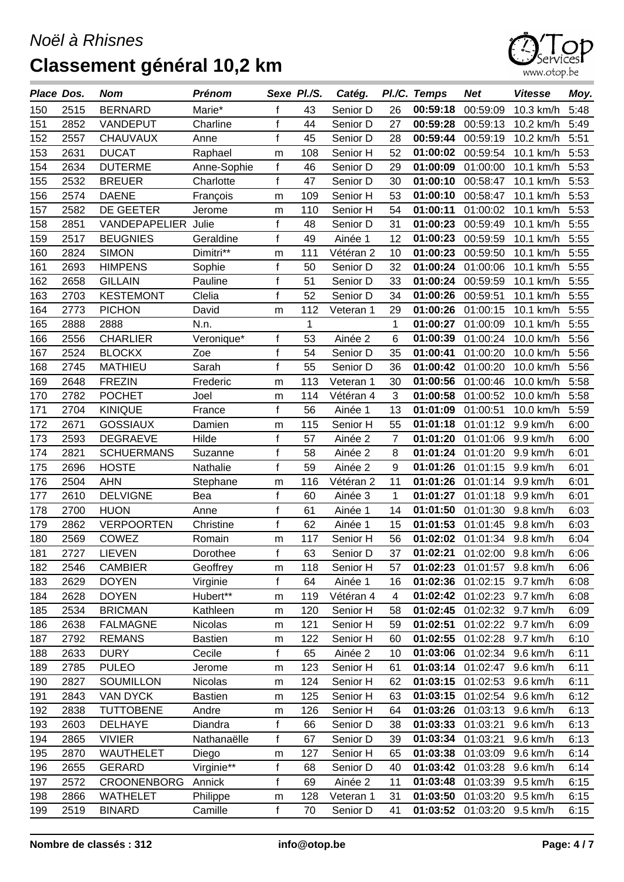

| Place Dos. |      | Nom                | <b>Prénom</b>  |              | Sexe PI./S. | Catég.    |    | PI./C. Temps | <b>Net</b>                 | <b>Vitesse</b> | Moy. |
|------------|------|--------------------|----------------|--------------|-------------|-----------|----|--------------|----------------------------|----------------|------|
| 150        | 2515 | <b>BERNARD</b>     | Marie*         | f            | 43          | Senior D  | 26 | 00:59:18     | 00:59:09                   | 10.3 km/h      | 5:48 |
| 151        | 2852 | VANDEPUT           | Charline       | f            | 44          | Senior D  | 27 | 00:59:28     | 00:59:13                   | 10.2 km/h      | 5:49 |
| 152        | 2557 | <b>CHAUVAUX</b>    | Anne           | f            | 45          | Senior D  | 28 | 00:59:44     | 00:59:19                   | 10.2 km/h      | 5:51 |
| 153        | 2631 | <b>DUCAT</b>       | Raphael        | m            | 108         | Senior H  | 52 | 01:00:02     | 00:59:54                   | 10.1 km/h      | 5:53 |
| 154        | 2634 | <b>DUTERME</b>     | Anne-Sophie    | $\mathsf{f}$ | 46          | Senior D  | 29 | 01:00:09     | 01:00:00                   | 10.1 km/h      | 5:53 |
| 155        | 2532 | <b>BREUER</b>      | Charlotte      | $\mathsf{f}$ | 47          | Senior D  | 30 | 01:00:10     | 00:58:47                   | 10.1 km/h      | 5:53 |
| 156        | 2574 | <b>DAENE</b>       | François       | m            | 109         | Senior H  | 53 | 01:00:10     | 00:58:47                   | 10.1 km/h      | 5:53 |
| 157        | 2582 | DE GEETER          | Jerome         | m            | 110         | Senior H  | 54 | 01:00:11     | 01:00:02                   | 10.1 km/h      | 5:53 |
| 158        | 2851 | VANDEPAPELIER      | Julie          | $\mathsf{f}$ | 48          | Senior D  | 31 | 01:00:23     | 00:59:49                   | 10.1 km/h      | 5:55 |
| 159        | 2517 | <b>BEUGNIES</b>    | Geraldine      | $\mathsf f$  | 49          | Ainée 1   | 12 | 01:00:23     | 00:59:59                   | 10.1 km/h      | 5:55 |
| 160        | 2824 | <b>SIMON</b>       | Dimitri**      | m            | 111         | Vétéran 2 | 10 | 01:00:23     | 00:59:50                   | 10.1 km/h      | 5:55 |
| 161        | 2693 | <b>HIMPENS</b>     | Sophie         | $\mathsf f$  | 50          | Senior D  | 32 | 01:00:24     | 01:00:06                   | 10.1 km/h      | 5:55 |
| 162        | 2658 | <b>GILLAIN</b>     | Pauline        | $\mathsf f$  | 51          | Senior D  | 33 | 01:00:24     | 00:59:59                   | 10.1 km/h      | 5:55 |
| 163        | 2703 | <b>KESTEMONT</b>   | Clelia         | $\mathsf f$  | 52          | Senior D  | 34 | 01:00:26     | 00:59:51                   | 10.1 km/h      | 5:55 |
| 164        | 2773 | <b>PICHON</b>      | David          | m            | 112         | Veteran 1 | 29 | 01:00:26     | 01:00:15                   | 10.1 km/h      | 5:55 |
| 165        | 2888 | 2888               | N.n.           |              | 1           |           | 1  | 01:00:27     | 01:00:09                   | 10.1 km/h      | 5:55 |
| 166        | 2556 | <b>CHARLIER</b>    | Veronique*     | f            | 53          | Ainée 2   | 6  | 01:00:39     | 01:00:24                   | 10.0 km/h      | 5:56 |
| 167        | 2524 | <b>BLOCKX</b>      | Zoe            | f            | 54          | Senior D  | 35 | 01:00:41     | 01:00:20                   | 10.0 km/h      | 5:56 |
| 168        | 2745 | <b>MATHIEU</b>     | Sarah          | $\mathsf{f}$ | 55          | Senior D  | 36 | 01:00:42     | 01:00:20                   | 10.0 km/h      | 5:56 |
| 169        | 2648 | <b>FREZIN</b>      | Frederic       | m            | 113         | Veteran 1 | 30 | 01:00:56     | 01:00:46                   | 10.0 km/h      | 5:58 |
| 170        | 2782 | <b>POCHET</b>      | Joel           | m            | 114         | Vétéran 4 | 3  | 01:00:58     | 01:00:52                   | 10.0 km/h      | 5:58 |
| 171        | 2704 | <b>KINIQUE</b>     | France         | f            | 56          | Ainée 1   | 13 | 01:01:09     | 01:00:51                   | 10.0 km/h      | 5:59 |
| 172        | 2671 | <b>GOSSIAUX</b>    | Damien         | m            | 115         | Senior H  | 55 | 01:01:18     | 01:01:12                   | 9.9 km/h       | 6:00 |
| 173        | 2593 | <b>DEGRAEVE</b>    | Hilde          | f            | 57          | Ainée 2   | 7  | 01:01:20     | 01:01:06                   | 9.9 km/h       | 6:00 |
| 174        | 2821 | <b>SCHUERMANS</b>  | Suzanne        | $\mathsf f$  | 58          | Ainée 2   | 8  | 01:01:24     | 01:01:20                   | 9.9 km/h       | 6:01 |
| 175        | 2696 | <b>HOSTE</b>       | Nathalie       | $\mathsf{f}$ | 59          | Ainée 2   | 9  | 01:01:26     | 01:01:15                   | 9.9 km/h       | 6:01 |
| 176        | 2504 | <b>AHN</b>         | Stephane       | m            | 116         | Vétéran 2 | 11 | 01:01:26     | 01:01:14                   | 9.9 km/h       | 6:01 |
| 177        | 2610 | <b>DELVIGNE</b>    | Bea            | $\mathsf{f}$ | 60          | Ainée 3   | 1  | 01:01:27     | 01:01:18                   | 9.9 km/h       | 6:01 |
| 178        | 2700 | <b>HUON</b>        | Anne           | f            | 61          | Ainée 1   | 14 | 01:01:50     | 01:01:30                   | 9.8 km/h       | 6:03 |
| 179        | 2862 | <b>VERPOORTEN</b>  | Christine      | $\mathsf{f}$ | 62          | Ainée 1   | 15 | 01:01:53     | 01:01:45                   | 9.8 km/h       | 6:03 |
| 180        | 2569 | COWEZ              | Romain         | m            | 117         | Senior H  | 56 | 01:02:02     | 01:01:34                   | 9.8 km/h       | 6:04 |
| 181        | 2727 | LIEVEN             | Dorothee       | f            | 63          | Senior D  | 37 | 01:02:21     | 01:02:00                   | 9.8 km/h       | 6:06 |
| 182        | 2546 | <b>CAMBIER</b>     | Geoffrey       | m            | 118         | Senior H  | 57 |              | 01:02:23 01:01:57 9.8 km/h |                | 6:06 |
| 183        | 2629 | <b>DOYEN</b>       | Virginie       | f            | 64          | Ainée 1   | 16 | 01:02:36     | 01:02:15                   | 9.7 km/h       | 6:08 |
| 184        | 2628 | <b>DOYEN</b>       | Hubert**       | m            | 119         | Vétéran 4 | 4  | 01:02:42     | 01:02:23                   | 9.7 km/h       | 6:08 |
| 185        | 2534 | <b>BRICMAN</b>     | Kathleen       | m            | 120         | Senior H  | 58 | 01:02:45     | 01:02:32                   | 9.7 km/h       | 6:09 |
| 186        | 2638 | <b>FALMAGNE</b>    | Nicolas        | m            | 121         | Senior H  | 59 | 01:02:51     | 01:02:22                   | 9.7 km/h       | 6:09 |
| 187        | 2792 | <b>REMANS</b>      | <b>Bastien</b> | m            | 122         | Senior H  | 60 | 01:02:55     | 01:02:28                   | 9.7 km/h       | 6:10 |
| 188        | 2633 | <b>DURY</b>        | Cecile         | f            | 65          | Ainée 2   | 10 | 01:03:06     | 01:02:34                   | 9.6 km/h       | 6:11 |
| 189        | 2785 | <b>PULEO</b>       | Jerome         | m            | 123         | Senior H  | 61 | 01:03:14     | 01:02:47                   | 9.6 km/h       | 6:11 |
| 190        | 2827 | <b>SOUMILLON</b>   | Nicolas        | m            | 124         | Senior H  | 62 | 01:03:15     | 01:02:53                   | 9.6 km/h       | 6:11 |
| 191        | 2843 | <b>VAN DYCK</b>    | <b>Bastien</b> | m            | 125         | Senior H  | 63 | 01:03:15     | 01:02:54                   | 9.6 km/h       | 6:12 |
| 192        | 2838 | <b>TUTTOBENE</b>   | Andre          | m            | 126         | Senior H  | 64 | 01:03:26     | 01:03:13                   | 9.6 km/h       | 6:13 |
| 193        | 2603 | DELHAYE            | Diandra        | f            | 66          | Senior D  | 38 | 01:03:33     | 01:03:21                   | 9.6 km/h       | 6:13 |
| 194        | 2865 | <b>VIVIER</b>      | Nathanaëlle    | $\mathsf f$  | 67          | Senior D  | 39 | 01:03:34     | 01:03:21                   | 9.6 km/h       | 6:13 |
| 195        | 2870 | <b>WAUTHELET</b>   | Diego          | m            | 127         | Senior H  | 65 | 01:03:38     | 01:03:09                   | 9.6 km/h       | 6:14 |
| 196        | 2655 | <b>GERARD</b>      | Virginie**     | f            | 68          | Senior D  | 40 | 01:03:42     | 01:03:28                   | 9.6 km/h       | 6:14 |
| 197        | 2572 | <b>CROONENBORG</b> | Annick         | $\mathsf f$  | 69          | Ainée 2   | 11 | 01:03:48     | 01:03:39                   | 9.5 km/h       | 6:15 |
| 198        | 2866 | <b>WATHELET</b>    | Philippe       | m            | 128         | Veteran 1 | 31 | 01:03:50     | 01:03:20                   | 9.5 km/h       | 6:15 |
| 199        | 2519 | <b>BINARD</b>      | Camille        | f            | 70          | Senior D  | 41 | 01:03:52     | 01:03:20                   | 9.5 km/h       | 6:15 |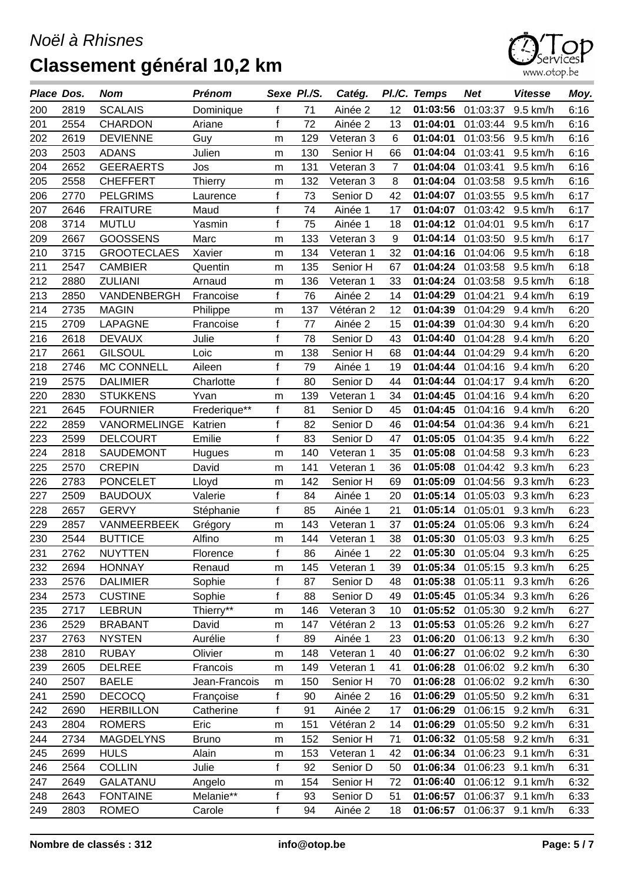

| Place Dos. |      | <b>Nom</b>         | <b>Prénom</b>  |              | Sexe PI./S. | Catég.    |                | PI./C. Temps      | <b>Net</b>                 | <b>Vitesse</b> | Moy. |
|------------|------|--------------------|----------------|--------------|-------------|-----------|----------------|-------------------|----------------------------|----------------|------|
| 200        | 2819 | <b>SCALAIS</b>     | Dominique      | f            | 71          | Ainée 2   | 12             | 01:03:56          | 01:03:37                   | 9.5 km/h       | 6:16 |
| 201        | 2554 | <b>CHARDON</b>     | Ariane         | f            | 72          | Ainée 2   | 13             | 01:04:01          | 01:03:44                   | 9.5 km/h       | 6:16 |
| 202        | 2619 | <b>DEVIENNE</b>    | Guy            | m            | 129         | Veteran 3 | 6              | 01:04:01          | 01:03:56                   | 9.5 km/h       | 6:16 |
| 203        | 2503 | <b>ADANS</b>       | Julien         | m            | 130         | Senior H  | 66             | 01:04:04          | 01:03:41                   | 9.5 km/h       | 6:16 |
| 204        | 2652 | <b>GEERAERTS</b>   | Jos            | m            | 131         | Veteran 3 | $\overline{7}$ | 01:04:04          | 01:03:41                   | 9.5 km/h       | 6:16 |
| 205        | 2558 | <b>CHEFFERT</b>    | <b>Thierry</b> | m            | 132         | Veteran 3 | 8              | 01:04:04          | 01:03:58                   | 9.5 km/h       | 6:16 |
| 206        | 2770 | <b>PELGRIMS</b>    | Laurence       | f            | 73          | Senior D  | 42             | 01:04:07          | 01:03:55                   | 9.5 km/h       | 6:17 |
| 207        | 2646 | <b>FRAITURE</b>    | Maud           | f            | 74          | Ainée 1   | 17             | 01:04:07 01:03:42 |                            | 9.5 km/h       | 6:17 |
| 208        | 3714 | <b>MUTLU</b>       | Yasmin         | f            | 75          | Ainée 1   | 18             | 01:04:12          | 01:04:01                   | 9.5 km/h       | 6:17 |
| 209        | 2667 | <b>GOOSSENS</b>    | Marc           | m            | 133         | Veteran 3 | 9              | 01:04:14          | 01:03:50                   | 9.5 km/h       | 6:17 |
| 210        | 3715 | <b>GROOTECLAES</b> | Xavier         | m            | 134         | Veteran 1 | 32             | 01:04:16          | 01:04:06                   | 9.5 km/h       | 6:18 |
| 211        | 2547 | <b>CAMBIER</b>     | Quentin        | m            | 135         | Senior H  | 67             | 01:04:24          | 01:03:58                   | 9.5 km/h       | 6:18 |
| 212        | 2880 | <b>ZULIANI</b>     | Arnaud         | m            | 136         | Veteran 1 | 33             | 01:04:24          | 01:03:58                   | 9.5 km/h       | 6:18 |
| 213        | 2850 | VANDENBERGH        | Francoise      | f            | 76          | Ainée 2   | 14             | 01:04:29          | 01:04:21                   | 9.4 km/h       | 6:19 |
| 214        | 2735 | <b>MAGIN</b>       | Philippe       | m            | 137         | Vétéran 2 | 12             | 01:04:39          | 01:04:29                   | 9.4 km/h       | 6:20 |
| 215        | 2709 | <b>LAPAGNE</b>     | Francoise      | f            | 77          | Ainée 2   | 15             | 01:04:39          | 01:04:30                   | 9.4 km/h       | 6:20 |
| 216        | 2618 | <b>DEVAUX</b>      | Julie          | $\mathsf{f}$ | 78          | Senior D  | 43             | 01:04:40          | 01:04:28                   | 9.4 km/h       | 6:20 |
| 217        | 2661 | <b>GILSOUL</b>     | Loic           | m            | 138         | Senior H  | 68             | 01:04:44          | 01:04:29                   | 9.4 km/h       | 6:20 |
| 218        | 2746 | <b>MC CONNELL</b>  | Aileen         | f            | 79          | Ainée 1   | 19             | 01:04:44          | 01:04:16                   | 9.4 km/h       | 6:20 |
| 219        | 2575 | <b>DALIMIER</b>    | Charlotte      | f            | 80          | Senior D  | 44             | 01:04:44          | 01:04:17                   | 9.4 km/h       | 6:20 |
| 220        | 2830 | <b>STUKKENS</b>    | Yvan           | m            | 139         | Veteran 1 | 34             | 01:04:45          | 01:04:16                   | 9.4 km/h       | 6:20 |
| 221        | 2645 | <b>FOURNIER</b>    | Frederique**   | f            | 81          | Senior D  | 45             | 01:04:45          | 01:04:16                   | 9.4 km/h       | 6:20 |
| 222        | 2859 | VANORMELINGE       | Katrien        | f            | 82          | Senior D  | 46             | 01:04:54          | 01:04:36                   | 9.4 km/h       | 6:21 |
| 223        | 2599 | <b>DELCOURT</b>    | Emilie         | $\mathsf{f}$ | 83          | Senior D  | 47             | 01:05:05          | 01:04:35                   | 9.4 km/h       | 6:22 |
| 224        | 2818 | SAUDEMONT          | Hugues         | m            | 140         | Veteran 1 | 35             | 01:05:08          | 01:04:58                   | 9.3 km/h       | 6:23 |
| 225        | 2570 | <b>CREPIN</b>      | David          | m            | 141         | Veteran 1 | 36             | 01:05:08          | 01:04:42                   | 9.3 km/h       | 6:23 |
| 226        | 2783 | <b>PONCELET</b>    | Lloyd          | m            | 142         | Senior H  | 69             | 01:05:09          | 01:04:56                   | 9.3 km/h       | 6:23 |
| 227        | 2509 | <b>BAUDOUX</b>     | Valerie        | $\mathsf{f}$ | 84          | Ainée 1   | 20             | 01:05:14          | 01:05:03                   | 9.3 km/h       | 6:23 |
| 228        | 2657 | <b>GERVY</b>       | Stéphanie      | f            | 85          | Ainée 1   | 21             | 01:05:14          | 01:05:01                   | 9.3 km/h       | 6:23 |
| 229        | 2857 | VANMEERBEEK        | Grégory        | m            | 143         | Veteran 1 | 37             | 01:05:24          | 01:05:06                   | 9.3 km/h       | 6:24 |
| 230        | 2544 | <b>BUTTICE</b>     | Alfino         | m            | 144         | Veteran 1 | 38             | 01:05:30          | 01:05:03                   | 9.3 km/h       | 6:25 |
| 231        | 2762 | <b>NUYTTEN</b>     | Florence       | f            | 86          | Ainée 1   | 22             | 01:05:30          | 01:05:04                   | 9.3 km/h       | 6:25 |
| 232        | 2694 | <b>HONNAY</b>      | Renaud         | m            | 145         | Veteran 1 | 39             |                   | 01:05:34 01:05:15 9.3 km/h |                | 6:25 |
| 233        | 2576 | <b>DALIMIER</b>    | Sophie         | f            | 87          | Senior D  | 48             | 01:05:38          | 01:05:11                   | 9.3 km/h       | 6:26 |
| 234        | 2573 | <b>CUSTINE</b>     | Sophie         | $\mathsf f$  | 88          | Senior D  | 49             | 01:05:45          | 01:05:34                   | 9.3 km/h       | 6:26 |
| 235        | 2717 | <b>LEBRUN</b>      | Thierry**      | m            | 146         | Veteran 3 | 10             | 01:05:52          | 01:05:30                   | 9.2 km/h       | 6:27 |
| 236        | 2529 | <b>BRABANT</b>     | David          | m            | 147         | Vétéran 2 | 13             | 01:05:53          | 01:05:26                   | 9.2 km/h       | 6:27 |
| 237        | 2763 | <b>NYSTEN</b>      | Aurélie        | f            | 89          | Ainée 1   | 23             | 01:06:20          | 01:06:13                   | 9.2 km/h       | 6:30 |
| 238        | 2810 | <b>RUBAY</b>       | Olivier        | m            | 148         | Veteran 1 | 40             | 01:06:27          | 01:06:02                   | 9.2 km/h       | 6:30 |
| 239        | 2605 | <b>DELREE</b>      | Francois       | m            | 149         | Veteran 1 | 41             | 01:06:28          | 01:06:02                   | 9.2 km/h       | 6:30 |
| 240        | 2507 | <b>BAELE</b>       | Jean-Francois  | m            | 150         | Senior H  | 70             | 01:06:28          | 01:06:02                   | 9.2 km/h       | 6:30 |
| 241        | 2590 | <b>DECOCQ</b>      | Françoise      | f            | 90          | Ainée 2   | 16             | 01:06:29          | 01:05:50                   | 9.2 km/h       | 6:31 |
| 242        | 2690 | <b>HERBILLON</b>   | Catherine      | f            | 91          | Ainée 2   | 17             | 01:06:29          | 01:06:15                   | 9.2 km/h       | 6:31 |
| 243        | 2804 | <b>ROMERS</b>      | Eric           | m            | 151         | Vétéran 2 | 14             | 01:06:29          | 01:05:50                   | 9.2 km/h       | 6:31 |
| 244        | 2734 | <b>MAGDELYNS</b>   | <b>Bruno</b>   | m            | 152         | Senior H  | 71             | 01:06:32          | 01:05:58                   | 9.2 km/h       | 6:31 |
| 245        | 2699 | <b>HULS</b>        | Alain          | m            | 153         | Veteran 1 | 42             | 01:06:34          | 01:06:23                   | 9.1 km/h       | 6:31 |
| 246        | 2564 | <b>COLLIN</b>      | Julie          | $\mathsf{f}$ | 92          | Senior D  | 50             | 01:06:34          | 01:06:23                   | 9.1 km/h       | 6:31 |
| 247        | 2649 | <b>GALATANU</b>    | Angelo         | m            | 154         | Senior H  | 72             | 01:06:40          | 01:06:12                   | 9.1 km/h       | 6:32 |
| 248        | 2643 | <b>FONTAINE</b>    | Melanie**      | f            | 93          | Senior D  | 51             | 01:06:57          | 01:06:37                   | 9.1 km/h       | 6:33 |
| 249        | 2803 | <b>ROMEO</b>       | Carole         | f            | 94          | Ainée 2   | 18             | 01:06:57          | 01:06:37                   | 9.1 km/h       | 6:33 |
|            |      |                    |                |              |             |           |                |                   |                            |                |      |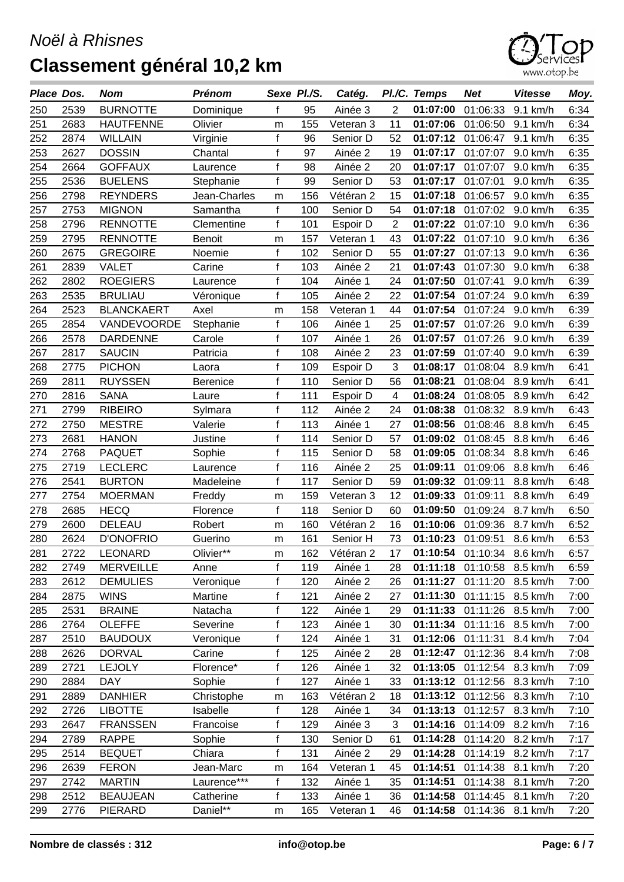

| Place Dos. |      | <b>Nom</b>        | <b>Prénom</b>   |              | Sexe Pl./S. | Catég.    |                         | PI./C. Temps      | <b>Net</b>                 | <b>Vitesse</b> | Moy. |
|------------|------|-------------------|-----------------|--------------|-------------|-----------|-------------------------|-------------------|----------------------------|----------------|------|
| 250        | 2539 | <b>BURNOTTE</b>   | Dominique       | f            | 95          | Ainée 3   | 2                       | 01:07:00          | 01:06:33                   | 9.1 km/h       | 6:34 |
| 251        | 2683 | <b>HAUTFENNE</b>  | Olivier         | m            | 155         | Veteran 3 | 11                      | 01:07:06          | 01:06:50                   | 9.1 km/h       | 6:34 |
| 252        | 2874 | <b>WILLAIN</b>    | Virginie        | f            | 96          | Senior D  | 52                      | 01:07:12          | 01:06:47                   | 9.1 km/h       | 6:35 |
| 253        | 2627 | <b>DOSSIN</b>     | Chantal         | f            | 97          | Ainée 2   | 19                      | 01:07:17          | 01:07:07                   | 9.0 km/h       | 6:35 |
| 254        | 2664 | <b>GOFFAUX</b>    | Laurence        | f            | 98          | Ainée 2   | 20                      | 01:07:17          | 01:07:07                   | 9.0 km/h       | 6:35 |
| 255        | 2536 | <b>BUELENS</b>    | Stephanie       | $\mathsf f$  | 99          | Senior D  | 53                      | 01:07:17          | 01:07:01                   | 9.0 km/h       | 6:35 |
| 256        | 2798 | <b>REYNDERS</b>   | Jean-Charles    | m            | 156         | Vétéran 2 | 15                      | 01:07:18          | 01:06:57                   | 9.0 km/h       | 6:35 |
| 257        | 2753 | <b>MIGNON</b>     | Samantha        | f            | 100         | Senior D  | 54                      | 01:07:18          | 01:07:02                   | 9.0 km/h       | 6:35 |
| 258        | 2796 | <b>RENNOTTE</b>   | Clementine      | f            | 101         | Espoir D  | 2                       | 01:07:22          | 01:07:10                   | 9.0 km/h       | 6:36 |
| 259        | 2795 | <b>RENNOTTE</b>   | <b>Benoit</b>   | m            | 157         | Veteran 1 | 43                      | 01:07:22          | 01:07:10                   | 9.0 km/h       | 6:36 |
| 260        | 2675 | <b>GREGOIRE</b>   | Noemie          | f            | 102         | Senior D  | 55                      | 01:07:27          | 01:07:13                   | 9.0 km/h       | 6:36 |
| 261        | 2839 | <b>VALET</b>      | Carine          | f            | 103         | Ainée 2   | 21                      | 01:07:43          | 01:07:30                   | 9.0 km/h       | 6:38 |
| 262        | 2802 | <b>ROEGIERS</b>   | Laurence        | f            | 104         | Ainée 1   | 24                      | 01:07:50          | 01:07:41                   | 9.0 km/h       | 6:39 |
| 263        | 2535 | <b>BRULIAU</b>    | Véronique       | $\mathsf{f}$ | 105         | Ainée 2   | 22                      | 01:07:54          | 01:07:24                   | 9.0 km/h       | 6:39 |
| 264        | 2523 | <b>BLANCKAERT</b> | Axel            | m            | 158         | Veteran 1 | 44                      | 01:07:54          | 01:07:24                   | 9.0 km/h       | 6:39 |
| 265        | 2854 | VANDEVOORDE       | Stephanie       | f            | 106         | Ainée 1   | 25                      | 01:07:57          | 01:07:26                   | 9.0 km/h       | 6:39 |
| 266        | 2578 | <b>DARDENNE</b>   | Carole          | f            | 107         | Ainée 1   | 26                      | 01:07:57          | 01:07:26                   | 9.0 km/h       | 6:39 |
| 267        | 2817 | <b>SAUCIN</b>     | Patricia        | f            | 108         | Ainée 2   | 23                      | 01:07:59          | 01:07:40                   | 9.0 km/h       | 6:39 |
| 268        | 2775 | <b>PICHON</b>     | Laora           | $\mathsf f$  | 109         | Espoir D  | 3                       | 01:08:17          | 01:08:04                   | 8.9 km/h       | 6:41 |
| 269        | 2811 | <b>RUYSSEN</b>    | <b>Berenice</b> | f            | 110         | Senior D  | 56                      | 01:08:21          | 01:08:04                   | 8.9 km/h       | 6:41 |
| 270        | 2816 | <b>SANA</b>       | Laure           | f            | 111         | Espoir D  | $\overline{\mathbf{4}}$ | 01:08:24          | 01:08:05                   | 8.9 km/h       | 6:42 |
| 271        | 2799 | <b>RIBEIRO</b>    | Sylmara         | f            | 112         | Ainée 2   | 24                      | 01:08:38          | 01:08:32                   | 8.9 km/h       | 6:43 |
| 272        | 2750 | <b>MESTRE</b>     | Valerie         | f            | 113         | Ainée 1   | 27                      | 01:08:56          | 01:08:46                   | 8.8 km/h       | 6:45 |
| 273        | 2681 | <b>HANON</b>      | Justine         | f            | 114         | Senior D  | 57                      | 01:09:02          | 01:08:45                   | 8.8 km/h       | 6:46 |
| 274        | 2768 | <b>PAQUET</b>     | Sophie          | f            | 115         | Senior D  | 58                      | 01:09:05          | 01:08:34                   | 8.8 km/h       | 6:46 |
| 275        | 2719 | <b>LECLERC</b>    | Laurence        | $\mathsf{f}$ | 116         | Ainée 2   | 25                      | 01:09:11          | 01:09:06                   | 8.8 km/h       | 6:46 |
| 276        | 2541 | <b>BURTON</b>     | Madeleine       | $\mathsf{f}$ | 117         | Senior D  | 59                      | 01:09:32          | 01:09:11                   | 8.8 km/h       | 6:48 |
| 277        | 2754 | <b>MOERMAN</b>    | Freddy          | m            | 159         | Veteran 3 | 12                      | 01:09:33          | 01:09:11                   | 8.8 km/h       | 6:49 |
| 278        | 2685 | <b>HECQ</b>       | Florence        | f            | 118         | Senior D  | 60                      | 01:09:50          | 01:09:24                   | 8.7 km/h       | 6:50 |
| 279        | 2600 | DELEAU            | Robert          | m            | 160         | Vétéran 2 | 16                      | 01:10:06          | 01:09:36                   | 8.7 km/h       | 6:52 |
| 280        | 2624 | <b>D'ONOFRIO</b>  | Guerino         | m            | 161         | Senior H  | 73                      | 01:10:23          | 01:09:51                   | 8.6 km/h       | 6:53 |
| 281        | 2722 | <b>LEONARD</b>    | Olivier**       | m            | 162         | Vétéran 2 | 17                      | 01:10:54          | 01:10:34                   | 8.6 km/h       | 6:57 |
| 282        | 2749 | <b>MERVEILLE</b>  | Anne            | f            | 119         | Ainée 1   | 28                      |                   | 01:11:18 01:10:58 8.5 km/h |                | 6:59 |
| 283        | 2612 | <b>DEMULIES</b>   | Veronique       | f            | 120         | Ainée 2   | 26                      | 01:11:27          | 01:11:20                   | 8.5 km/h       | 7:00 |
| 284        | 2875 | <b>WINS</b>       | Martine         | $\mathsf f$  | 121         | Ainée 2   | 27                      | 01:11:30          | 01:11:15                   | 8.5 km/h       | 7:00 |
| 285        | 2531 | <b>BRAINE</b>     | Natacha         | f            | 122         | Ainée 1   | 29                      | 01:11:33          | 01:11:26                   | 8.5 km/h       | 7:00 |
| 286        | 2764 | <b>OLEFFE</b>     | Severine        | f            | 123         | Ainée 1   | 30                      | 01:11:34          | 01:11:16                   | 8.5 km/h       | 7:00 |
| 287        | 2510 | <b>BAUDOUX</b>    | Veronique       | f            | 124         | Ainée 1   | 31                      | 01:12:06          | 01:11:31                   | 8.4 km/h       | 7:04 |
| 288        | 2626 | <b>DORVAL</b>     | Carine          | f            | 125         | Ainée 2   | 28                      | 01:12:47          | 01:12:36                   | 8.4 km/h       | 7:08 |
| 289        | 2721 | LEJOLY            | Florence*       | f            | 126         | Ainée 1   | 32                      | 01:13:05          | 01:12:54                   | 8.3 km/h       | 7:09 |
| 290        | 2884 | <b>DAY</b>        | Sophie          | f            | 127         | Ainée 1   | 33                      | 01:13:12 01:12:56 |                            | 8.3 km/h       | 7:10 |
| 291        | 2889 | <b>DANHIER</b>    | Christophe      | m            | 163         | Vétéran 2 | 18                      | 01:13:12          | 01:12:56                   | 8.3 km/h       | 7:10 |
| 292        | 2726 | <b>LIBOTTE</b>    | Isabelle        | f            | 128         | Ainée 1   | 34                      | 01:13:13          | 01:12:57                   | 8.3 km/h       | 7:10 |
| 293        | 2647 | <b>FRANSSEN</b>   | Francoise       | f            | 129         | Ainée 3   | 3                       | 01:14:16          | 01:14:09                   | 8.2 km/h       | 7:16 |
| 294        | 2789 | <b>RAPPE</b>      | Sophie          | f            | 130         | Senior D  | 61                      | 01:14:28          | 01:14:20                   | 8.2 km/h       | 7:17 |
| 295        | 2514 | <b>BEQUET</b>     | Chiara          | $\mathsf{f}$ | 131         | Ainée 2   | 29                      | 01:14:28          | 01:14:19                   | 8.2 km/h       | 7:17 |
| 296        | 2639 | <b>FERON</b>      | Jean-Marc       | m            | 164         | Veteran 1 | 45                      | 01:14:51          | 01:14:38                   | 8.1 km/h       | 7:20 |
| 297        | 2742 | <b>MARTIN</b>     | Laurence***     | f            | 132         | Ainée 1   | 35                      | 01:14:51          | 01:14:38                   | 8.1 km/h       | 7:20 |
| 298        | 2512 | <b>BEAUJEAN</b>   | Catherine       | f            | 133         | Ainée 1   | 36                      | 01:14:58          | 01:14:45                   | 8.1 km/h       | 7:20 |
| 299        | 2776 | PIERARD           | Daniel**        | m            | 165         | Veteran 1 | 46                      | 01:14:58          | 01:14:36                   | 8.1 km/h       | 7:20 |